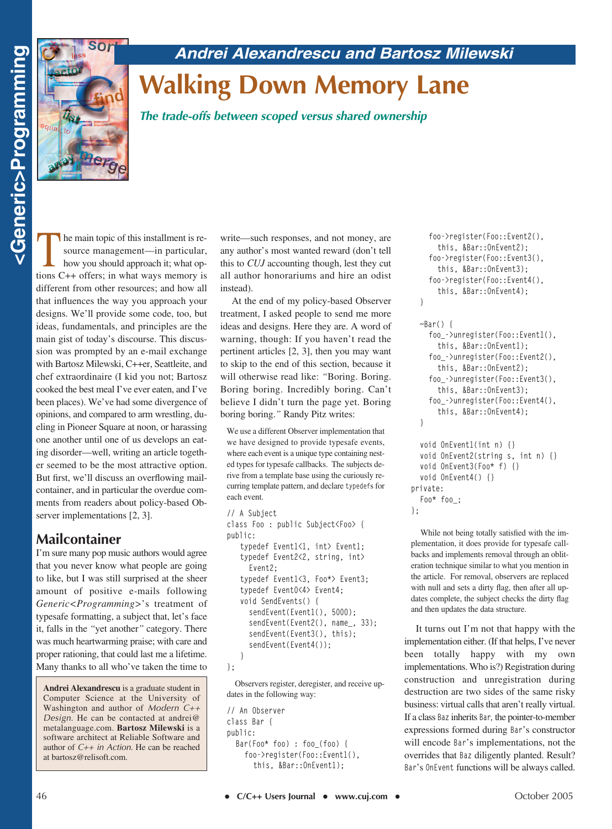### *Andrei Alexandrescu and Bartosz Milewski*



# **Walking Down Memory Lane**

*The trade-offs between scoped versus shared ownership*

The main topic of this installment is resource management—in particular,<br>how you should approach it; what op-<br>tions C.1. offers: in what wells mannery is source management—in particular, tions C++ offers; in what ways memory is different from other resources; and how all that influences the way you approach your designs. We'll provide some code, too, but ideas, fundamentals, and principles are the main gist of today's discourse. This discussion was prompted by an e-mail exchange with Bartosz Milewski, C++er, Seattleite, and chef extraordinaire (I kid you not; Bartosz cooked the best meal I've ever eaten, and I've been places). We've had some divergence of opinions, and compared to arm wrestling, dueling in Pioneer Square at noon, or harassing one another until one of us develops an eating disorder—well, writing an article together seemed to be the most attractive option. But first, we'll discuss an overflowing mailcontainer, and in particular the overdue comments from readers about policy-based Observer implementations [2, 3].

#### **Mailcontainer**

I'm sure many pop music authors would agree that you never know what people are going to like, but I was still surprised at the sheer amount of positive e-mails following *Generic<Programming>*'s treatment of typesafe formatting, a subject that, let's face it, falls in the *"*yet another*"* category. There was much heartwarming praise; with care and proper rationing, that could last me a lifetime. Many thanks to all who've taken the time to

**Andrei Alexandrescu** is a graduate student in Computer Science at the University of Washington and author of *Modern C++ Design*. He can be contacted at andrei@ metalanguage.com. **Bartosz Milewski** is a software architect at Reliable Software and author of *C++ in Action*. He can be reached at bartosz@relisoft.com.

write—such responses, and not money, are any author's most wanted reward (don't tell this to *CUJ* accounting though, lest they cut all author honorariums and hire an odist instead).

At the end of my policy-based Observer treatment, I asked people to send me more ideas and designs. Here they are. A word of warning, though: If you haven't read the pertinent articles [2, 3], then you may want to skip to the end of this section, because it will otherwise read like: *"*Boring. Boring. Boring boring. Incredibly boring. Can't believe I didn't turn the page yet. Boring boring boring.*"* Randy Pitz writes:

We use a different Observer implementation that we have designed to provide typesafe events, where each event is a unique type containing nested types for typesafe callbacks. The subjects derive from a template base using the curiously recurring template pattern, and declare **typedef**s for each event.

```
// A Subject
class Foo : public Subject<Foo> {
public:
   typedef Event1<1, int> Event1;
   typedef Event2<2, string, int> 
     Event2;
   typedef Event1<3, Foo*> Event3;
   typedef Event0<4> Event4; 
   void SendEvents() {
     sendEvent(Event1(), 5000);
     sendEvent(Event2(), name_, 33);
     sendEvent(Event3(), this);
     sendEvent(Event4());
   }
```

```
};
```
Observers register, deregister, and receive updates in the following way:

```
// An Observer
class Bar {
public:
  Bar(Foo* foo) : foo_(foo) {
    foo->register(Foo::Event1(), 
      this, &Bar::OnEvent1);
```

```
foo->register(Foo::Event2(), 
  this, &Bar::OnEvent2);
foo->register(Foo::Event3(), 
  this, &Bar::OnEvent3);
foo->register(Foo::Event4(), 
  this, &Bar::OnEvent4);
```

```
~Bar() {
```
**}**

**};**

```
foo_->unregister(Foo::Event1(), 
    this, &Bar::OnEvent1);
  foo_->unregister(Foo::Event2(), 
    this, &Bar::OnEvent2);
  foo_->unregister(Foo::Event3(), 
    this, &Bar::OnEvent3);
  foo_->unregister(Foo::Event4(), 
    this, &Bar::OnEvent4);
}
void OnEvent1(int n) {}
void OnEvent2(string s, int n) {}
void OnEvent3(Foo* f) {}
void OnEvent4() {}
```
**private: Foo\* foo\_;**

While not being totally satisfied with the implementation, it does provide for typesafe callbacks and implements removal through an obliteration technique similar to what you mention in the article. For removal, observers are replaced with null and sets a dirty flag, then after all updates complete, the subject checks the dirty flag and then updates the data structure.

It turns out I'm not that happy with the implementation either. (If that helps, I've never been totally happy with my own implementations. Who is?) Registration during construction and unregistration during destruction are two sides of the same risky business: virtual calls that aren't really virtual. If a class **Baz** inherits **Bar***,* the pointer-to-member expressions formed during **Bar**'s constructor will encode **Bar**'s implementations, not the overrides that **Baz** diligently planted. Result? **Bar**'s **OnEvent** functions will be always called.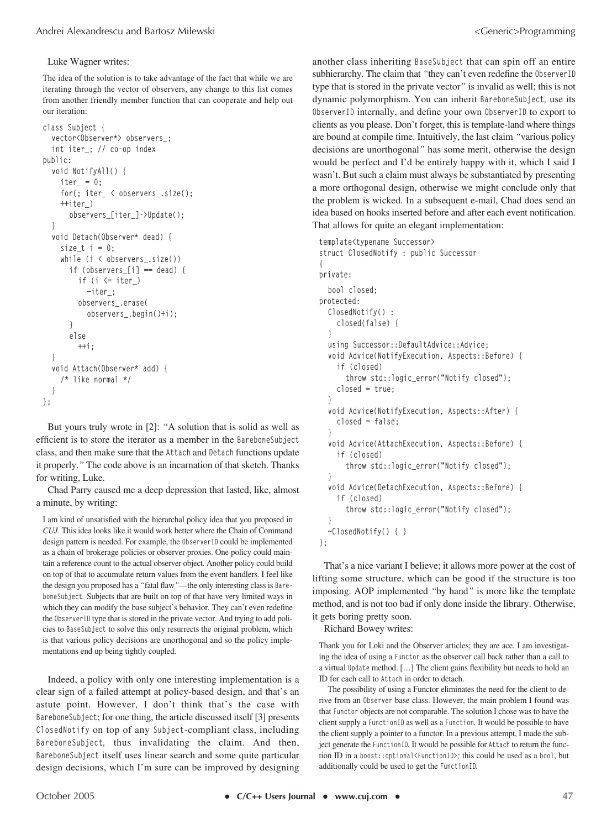#### Luke Wagner writes:

The idea of the solution is to take advantage of the fact that while we are iterating through the vector of observers, any change to this list comes from another friendly member function that can cooperate and help out our iteration:

```
class Subject {
  vector<Observer*> observers_;
  int iter_; // co-op index
public:
  void NotifyAll() {
    iter_ = 0;
    for(; iter_ < observers_.size(); 
    ++iter_)
      observers_[iter_]->Update();
  }
  void Detach(Observer* dead) {
    size_t i = 0;
    while (i < observers_.size())
      if (observers_[i] == dead) {
        if (i <= iter_) 
           —iter_;
        observers_.erase(
           observers_.begin()+i);
      }
      else 
        ++i;
  }
  void Attach(Observer* add) { 
    /* like normal */ 
  }
};
```
But yours truly wrote in [2]: *"*A solution that is solid as well as efficient is to store the iterator as a member in the **BareboneSubject** class, and then make sure that the **Attach** and **Detach** functions update it properly.*"* The code above is an incarnation of that sketch. Thanks for writing, Luke.

Chad Parry caused me a deep depression that lasted, like, almost a minute, by writing:

I am kind of unsatisfied with the hierarchal policy idea that you proposed in *CUJ*. This idea looks like it would work better where the Chain of Command design pattern is needed. For example, the **ObserverID** could be implemented as a chain of brokerage policies or observer proxies. One policy could maintain a reference count to the actual observer object. Another policy could build on top of that to accumulate return values from the event handlers. I feel like the design you proposed has a *"*fatal flaw*"*—the only interesting class is **BareboneSubject***.* Subjects that are built on top of that have very limited ways in which they can modify the base subject's behavior. They can't even redefine the **ObserverID** type that is stored in the private vector. And trying to add policies to **BaseSubject** to solve this only resurrects the original problem, which is that various policy decisions are unorthogonal and so the policy implementations end up being tightly coupled.

Indeed, a policy with only one interesting implementation is a clear sign of a failed attempt at policy-based design, and that's an astute point. However, I don't think that's the case with **BareboneSubject**; for one thing, the article discussed itself [3] presents **ClosedNotify** on top of any **Subject**-compliant class, including **BareboneSubject***,* thus invalidating the claim. And then, **BareboneSubject** itself uses linear search and some quite particular design decisions, which I'm sure can be improved by designing

another class inheriting **BaseSubject** that can spin off an entire subhierarchy. The claim that *"*they can't even redefine the **ObserverID** type that is stored in the private vector*"* is invalid as well; this is not dynamic polymorphism. You can inherit **BareboneSubject***,* use its **ObserverID** internally, and define your own **ObserverID** to export to clients as you please. Don't forget, this is template-land where things are bound at compile time. Intuitively, the last claim *"*various policy decisions are unorthogonal*"* has some merit, otherwise the design would be perfect and I'd be entirely happy with it, which I said I wasn't. But such a claim must always be substantiated by presenting a more orthogonal design, otherwise we might conclude only that the problem is wicked. In a subsequent e-mail, Chad does send an idea based on hooks inserted before and after each event notification. That allows for quite an elegant implementation:

```
template<typename Successor>
struct ClosedNotify : public Successor
{
private:
  bool closed;
protected:
  ClosedNotify() :
    closed(false) {
  }
  using Successor::DefaultAdvice::Advice;
  void Advice(NotifyExecution, Aspects::Before) {
    if (closed)
      throw std::logic_error("Notify closed");
    closed = true;
  }
  void Advice(NotifyExecution, Aspects::After) {
    closed = false;
  }
  void Advice(AttachExecution, Aspects::Before) {
    if (closed)
      throw std::logic_error("Notify closed");
  }
  void Advice(DetachExecution, Aspects::Before) {
    if (closed)
      throw std::logic_error("Notify closed");
  }
  ~ClosedNotify() { }
};
```
That's a nice variant I believe; it allows more power at the cost of lifting some structure, which can be good if the structure is too imposing. AOP implemented *"*by hand*"* is more like the template method, and is not too bad if only done inside the library. Otherwise, it gets boring pretty soon.

Richard Bowey writes:

Thank you for Loki and the Observer articles; they are ace. I am investigating the idea of using a **Functor** as the observer call back rather than a call to a virtual **Update** method. […] The client gains flexibility but needs to hold an ID for each call to **Attach** in order to detach.

The possibility of using a Functor eliminates the need for the client to derive from an **Observer** base class. However, the main problem I found was that **Functor** objects are not comparable. The solution I chose was to have the client supply a **FunctionID** as well as a **Function***.* It would be possible to have the client supply a pointer to a functor. In a previous attempt, I made the subject generate the **FunctionID***.* It would be possible for **Attach** to return the function ID in a **boost::optional<FunctionID>***;* this could be used as a **bool**, but additionally could be used to get the **FunctionID***.*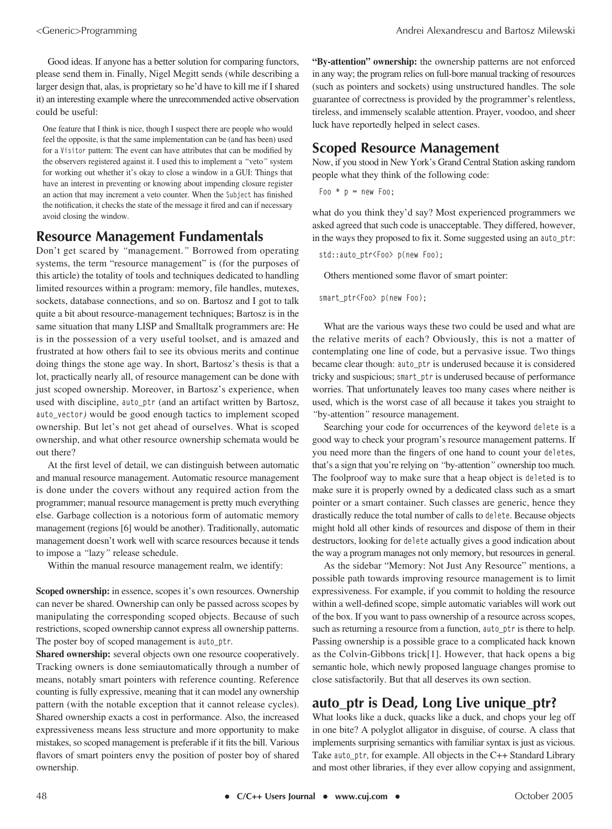Good ideas. If anyone has a better solution for comparing functors, please send them in. Finally, Nigel Megitt sends (while describing a larger design that, alas, is proprietary so he'd have to kill me if I shared it) an interesting example where the unrecommended active observation could be useful:

One feature that I think is nice, though I suspect there are people who would feel the opposite, is that the same implementation can be (and has been) used for a **Visitor** pattern: The event can have attributes that can be modified by the observers registered against it. I used this to implement a *"*veto*"* system for working out whether it's okay to close a window in a GUI: Things that have an interest in preventing or knowing about impending closure register an action that may increment a veto counter. When the **Subject** has finished the notification, it checks the state of the message it fired and can if necessary avoid closing the window.

#### **Resource Management Fundamentals**

Don't get scared by *"*management.*"* Borrowed from operating systems, the term "resource management" is (for the purposes of this article) the totality of tools and techniques dedicated to handling limited resources within a program: memory, file handles, mutexes, sockets, database connections, and so on. Bartosz and I got to talk quite a bit about resource-management techniques; Bartosz is in the same situation that many LISP and Smalltalk programmers are: He is in the possession of a very useful toolset, and is amazed and frustrated at how others fail to see its obvious merits and continue doing things the stone age way. In short, Bartosz's thesis is that a lot, practically nearly all, of resource management can be done with just scoped ownership. Moreover, in Bartosz's experience, when used with discipline, **auto\_ptr** (and an artifact written by Bartosz, **auto\_vector***)* would be good enough tactics to implement scoped ownership. But let's not get ahead of ourselves. What is scoped ownership, and what other resource ownership schemata would be out there?

At the first level of detail, we can distinguish between automatic and manual resource management. Automatic resource management is done under the covers without any required action from the programmer; manual resource management is pretty much everything else. Garbage collection is a notorious form of automatic memory management (regions [6] would be another). Traditionally, automatic management doesn't work well with scarce resources because it tends to impose a *"*lazy*"* release schedule.

Within the manual resource management realm, we identify:

**Scoped ownership:** in essence, scopes it's own resources. Ownership can never be shared. Ownership can only be passed across scopes by manipulating the corresponding scoped objects. Because of such restrictions, scoped ownership cannot express all ownership patterns. The poster boy of scoped management is **auto\_ptr***.*

**Shared ownership:** several objects own one resource cooperatively. Tracking owners is done semiautomatically through a number of means, notably smart pointers with reference counting. Reference counting is fully expressive, meaning that it can model any ownership pattern (with the notable exception that it cannot release cycles). Shared ownership exacts a cost in performance. Also, the increased expressiveness means less structure and more opportunity to make mistakes, so scoped management is preferable if it fits the bill. Various flavors of smart pointers envy the position of poster boy of shared ownership.

**"By-attention" ownership:** the ownership patterns are not enforced in any way; the program relies on full-bore manual tracking of resources (such as pointers and sockets) using unstructured handles. The sole guarantee of correctness is provided by the programmer's relentless, tireless, and immensely scalable attention. Prayer, voodoo, and sheer luck have reportedly helped in select cases.

#### **Scoped Resource Management**

Now, if you stood in New York's Grand Central Station asking random people what they think of the following code:

**Foo \* p = new Foo;**

what do you think they'd say? Most experienced programmers we asked agreed that such code is unacceptable. They differed, however, in the ways they proposed to fix it. Some suggested using an **auto\_ptr**:

**std::auto\_ptr<Foo> p(new Foo);**

Others mentioned some flavor of smart pointer:

**smart\_ptr<Foo> p(new Foo);**

What are the various ways these two could be used and what are the relative merits of each? Obviously, this is not a matter of contemplating one line of code, but a pervasive issue. Two things became clear though: **auto\_ptr** is underused because it is considered tricky and suspicious; **smart\_ptr** is underused because of performance worries. That unfortunately leaves too many cases where neither is used, which is the worst case of all because it takes you straight to *"*by-attention*"* resource management.

Searching your code for occurrences of the keyword **delete** is a good way to check your program's resource management patterns. If you need more than the fingers of one hand to count your **delete**s, that's a sign that you're relying on *"*by-attention*"* ownership too much. The foolproof way to make sure that a heap object is **delete**d is to make sure it is properly owned by a dedicated class such as a smart pointer or a smart container. Such classes are generic, hence they drastically reduce the total number of calls to **delete**. Because objects might hold all other kinds of resources and dispose of them in their destructors, looking for **delete** actually gives a good indication about the way a program manages not only memory, but resources in general.

As the sidebar "Memory: Not Just Any Resource" mentions, a possible path towards improving resource management is to limit expressiveness. For example, if you commit to holding the resource within a well-defined scope, simple automatic variables will work out of the box. If you want to pass ownership of a resource across scopes, such as returning a resource from a function, **auto\_ptr** is there to help. Passing ownership is a possible grace to a complicated hack known as the Colvin-Gibbons trick[1]. However, that hack opens a big semantic hole, which newly proposed language changes promise to close satisfactorily. But that all deserves its own section.

#### **auto\_ptr is Dead, Long Live unique\_ptr?**

What looks like a duck, quacks like a duck, and chops your leg off in one bite? A polyglot alligator in disguise, of course. A class that implements surprising semantics with familiar syntax is just as vicious. Take **auto\_ptr***,* for example. All objects in the C++ Standard Library and most other libraries, if they ever allow copying and assignment,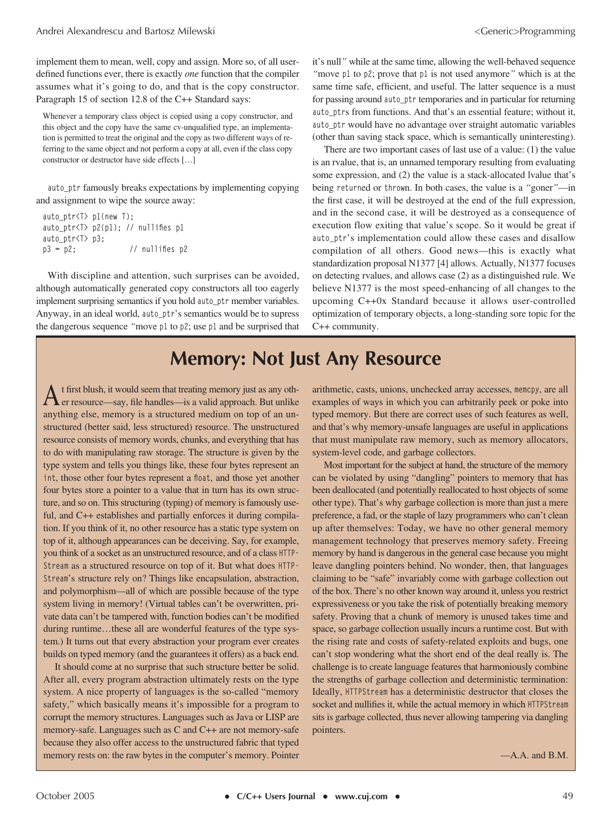implement them to mean, well, copy and assign. More so, of all userdefined functions ever, there is exactly *one* function that the compiler assumes what it's going to do, and that is the copy constructor. Paragraph 15 of section 12.8 of the C++ Standard says:

Whenever a temporary class object is copied using a copy constructor, and this object and the copy have the same cv-unqualified type, an implementation is permitted to treat the original and the copy as two different ways of referring to the same object and not perform a copy at all, even if the class copy constructor or destructor have side effects […]

**auto\_ptr** famously breaks expectations by implementing copying and assignment to wipe the source away:

```
auto_ptr<T> p1(new T);
auto_ptr<T> p2(p1); // nullifies p1
auto_ptr<T> p3; 
p3 = p2; // nullifies p2
```
With discipline and attention, such surprises can be avoided, although automatically generated copy constructors all too eagerly implement surprising semantics if you hold **auto\_ptr** member variables. Anyway, in an ideal world, **auto\_ptr**'s semantics would be to supress the dangerous sequence *"*move **p1** to **p2**; use **p1** and be surprised that it's null*"* while at the same time, allowing the well-behaved sequence *"*move **p1** to **p2**; prove that **p1** is not used anymore*"* which is at the same time safe, efficient, and useful. The latter sequence is a must for passing around **auto\_ptr** temporaries and in particular for returning **auto\_ptr**s from functions. And that's an essential feature; without it, **auto\_ptr** would have no advantage over straight automatic variables (other than saving stack space, which is semantically uninteresting).

There are two important cases of last use of a value: (1) the value is an rvalue, that is, an unnamed temporary resulting from evaluating some expression, and (2) the value is a stack-allocated lvalue that's being **return**ed or **throw**n. In both cases, the value is a *"*goner*"*—in the first case, it will be destroyed at the end of the full expression, and in the second case, it will be destroyed as a consequence of execution flow exiting that value's scope. So it would be great if auto ptr's implementation could allow these cases and disallow compilation of all others. Good news—this is exactly what standardization proposal N1377 [4] allows. Actually, N1377 focuses on detecting rvalues, and allows case (2) as a distinguished rule. We believe N1377 is the most speed-enhancing of all changes to the upcoming C++0x Standard because it allows user-controlled optimization of temporary objects, a long-standing sore topic for the C++ community.

## **Memory: Not Just Any Resource**

 $A$ t first blush, it would seem that treating memory just as any oth-<br>er resource—say, file handles—is a valid approach. But unlike anything else, memory is a structured medium on top of an unstructured (better said, less structured) resource. The unstructured resource consists of memory words, chunks, and everything that has to do with manipulating raw storage. The structure is given by the type system and tells you things like, these four bytes represent an **int**, those other four bytes represent a **float**, and those yet another four bytes store a pointer to a value that in turn has its own structure, and so on. This structuring (typing) of memory is famously useful, and C++ establishes and partially enforces it during compilation. If you think of it, no other resource has a static type system on top of it, although appearances can be deceiving. Say, for example, you think of a socket as an unstructured resource, and of a class **HTTP-Stream** as a structured resource on top of it. But what does **HTTP-Stream**'s structure rely on? Things like encapsulation, abstraction, and polymorphism—all of which are possible because of the type system living in memory! (Virtual tables can't be overwritten, private data can't be tampered with, function bodies can't be modified during runtime…these all are wonderful features of the type system.) It turns out that every abstraction your program ever creates builds on typed memory (and the guarantees it offers) as a back end.

It should come at no surprise that such structure better be solid. After all, every program abstraction ultimately rests on the type system. A nice property of languages is the so-called "memory safety," which basically means it's impossible for a program to corrupt the memory structures. Languages such as Java or LISP are memory-safe. Languages such as C and C++ are not memory-safe because they also offer access to the unstructured fabric that typed memory rests on: the raw bytes in the computer's memory. Pointer

arithmetic, casts, unions, unchecked array accesses, **memcpy**, are all examples of ways in which you can arbitrarily peek or poke into typed memory. But there are correct uses of such features as well, and that's why memory-unsafe languages are useful in applications that must manipulate raw memory, such as memory allocators, system-level code, and garbage collectors.

Most important for the subject at hand, the structure of the memory can be violated by using "dangling" pointers to memory that has been deallocated (and potentially reallocated to host objects of some other type). That's why garbage collection is more than just a mere preference, a fad, or the staple of lazy programmers who can't clean up after themselves: Today, we have no other general memory management technology that preserves memory safety. Freeing memory by hand is dangerous in the general case because you might leave dangling pointers behind. No wonder, then, that languages claiming to be "safe" invariably come with garbage collection out of the box. There's no other known way around it, unless you restrict expressiveness or you take the risk of potentially breaking memory safety. Proving that a chunk of memory is unused takes time and space, so garbage collection usually incurs a runtime cost. But with the rising rate and costs of safety-related exploits and bugs, one can't stop wondering what the short end of the deal really is. The challenge is to create language features that harmoniously combine the strengths of garbage collection and deterministic termination: Ideally, **HTTPStream** has a deterministic destructor that closes the socket and nullifies it, while the actual memory in which **HTTPStream** sits is garbage collected, thus never allowing tampering via dangling pointers.

—A.A. and B.M.